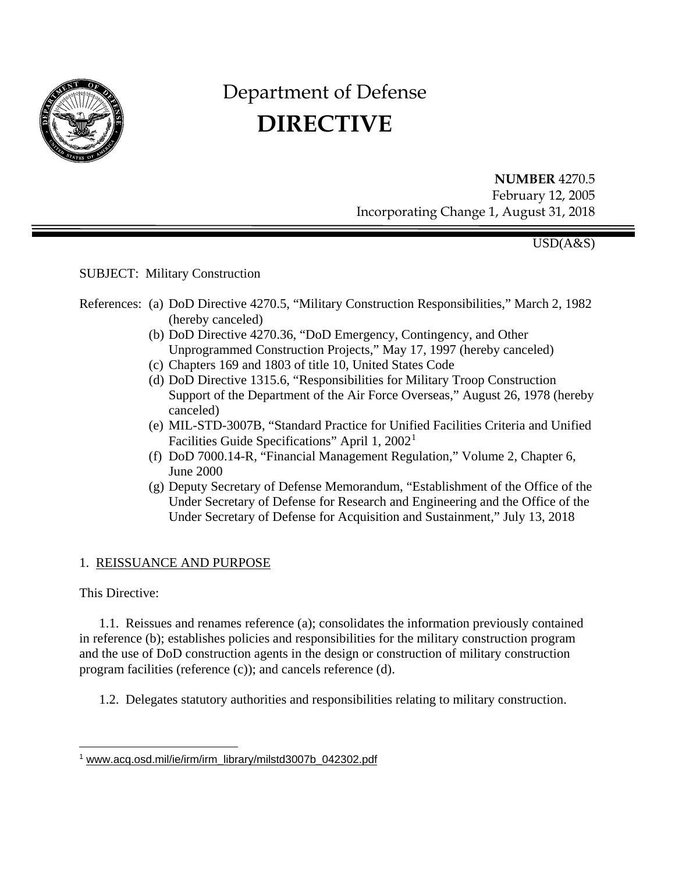

# Department of Defense **DIRECTIVE**

**NUMBER** 4270.5 February 12, 2005 Incorporating Change 1, August 31, 2018

USD(A&S)

## SUBJECT: Military Construction

- References: (a) DoD Directive 4270.5, "Military Construction Responsibilities," March 2, 1982 (hereby canceled)
	- (b) DoD Directive 4270.36, "DoD Emergency, Contingency, and Other Unprogrammed Construction Projects," May 17, 1997 (hereby canceled)
	- (c) Chapters 169 and 1803 of title 10, United States Code
	- (d) DoD Directive 1315.6, "Responsibilities for Military Troop Construction Support of the Department of the Air Force Overseas," August 26, 1978 (hereby canceled)
	- (e) MIL-STD-3007B, "Standard Practice for Unified Facilities Criteria and Unified Facilities Guide Specifications" April [1](#page-0-0), 2002<sup>1</sup>
	- (f) DoD 7000.14-R, "Financial Management Regulation," Volume 2, Chapter 6, June 2000
	- (g) Deputy Secretary of Defense Memorandum, "Establishment of the Office of the Under Secretary of Defense for Research and Engineering and the Office of the Under Secretary of Defense for Acquisition and Sustainment," July 13, 2018

## 1. REISSUANCE AND PURPOSE

This Directive:

1.1. Reissues and renames reference (a); consolidates the information previously contained in reference (b); establishes policies and responsibilities for the military construction program and the use of DoD construction agents in the design or construction of military construction program facilities (reference (c)); and cancels reference (d).

1.2. Delegates statutory authorities and responsibilities relating to military construction.

<span id="page-0-0"></span> $\overline{a}$ <sup>1</sup> [www.acq.osd.mil/ie/irm/irm\\_library/milstd3007b\\_042302.pdf](http://www.acq.osd.mil/ie/irm/irm_library/milstd3007b_042302.pdf)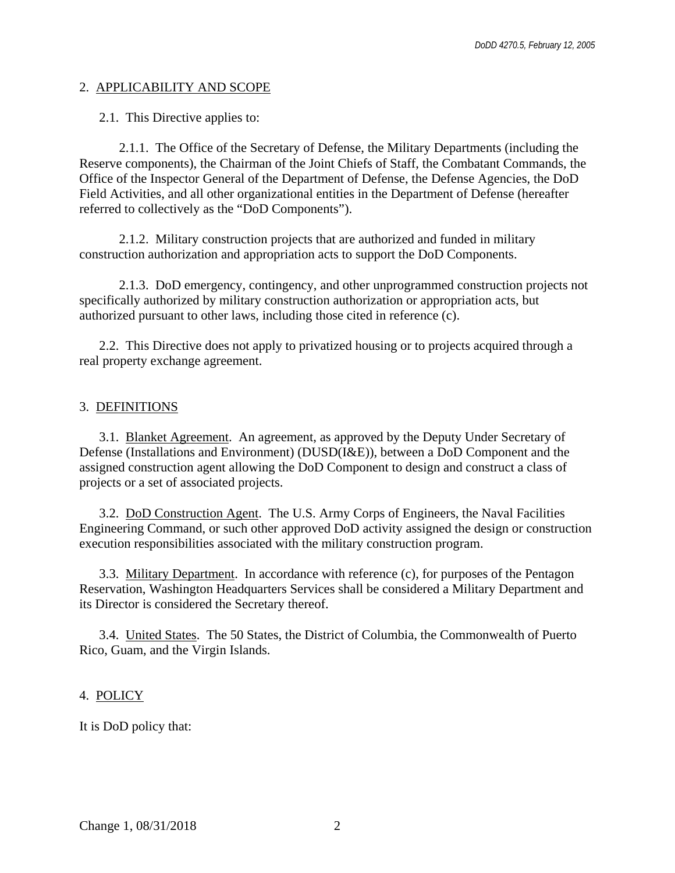#### 2. APPLICABILITY AND SCOPE

2.1. This Directive applies to:

2.1.1. The Office of the Secretary of Defense, the Military Departments (including the Reserve components), the Chairman of the Joint Chiefs of Staff, the Combatant Commands, the Office of the Inspector General of the Department of Defense, the Defense Agencies, the DoD Field Activities, and all other organizational entities in the Department of Defense (hereafter referred to collectively as the "DoD Components").

2.1.2. Military construction projects that are authorized and funded in military construction authorization and appropriation acts to support the DoD Components.

2.1.3. DoD emergency, contingency, and other unprogrammed construction projects not specifically authorized by military construction authorization or appropriation acts, but authorized pursuant to other laws, including those cited in reference (c).

2.2. This Directive does not apply to privatized housing or to projects acquired through a real property exchange agreement.

## 3. DEFINITIONS

3.1. Blanket Agreement. An agreement, as approved by the Deputy Under Secretary of Defense (Installations and Environment) (DUSD(I&E)), between a DoD Component and the assigned construction agent allowing the DoD Component to design and construct a class of projects or a set of associated projects.

3.2. DoD Construction Agent. The U.S. Army Corps of Engineers, the Naval Facilities Engineering Command, or such other approved DoD activity assigned the design or construction execution responsibilities associated with the military construction program.

3.3. Military Department. In accordance with reference (c), for purposes of the Pentagon Reservation, Washington Headquarters Services shall be considered a Military Department and its Director is considered the Secretary thereof.

3.4. United States. The 50 States, the District of Columbia, the Commonwealth of Puerto Rico, Guam, and the Virgin Islands.

## 4. POLICY

It is DoD policy that: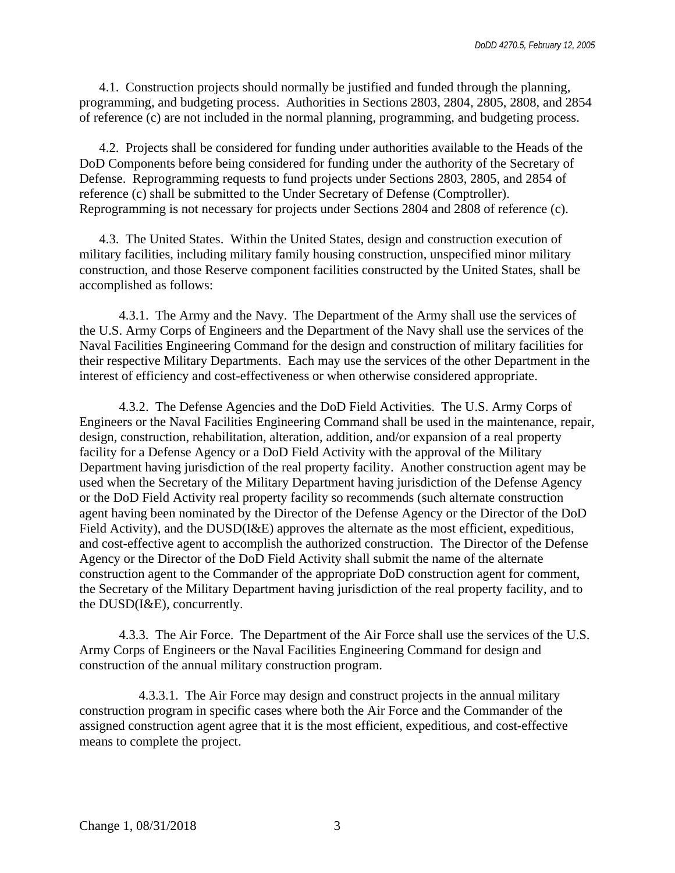4.1. Construction projects should normally be justified and funded through the planning, programming, and budgeting process. Authorities in Sections 2803, 2804, 2805, 2808, and 2854 of reference (c) are not included in the normal planning, programming, and budgeting process.

4.2. Projects shall be considered for funding under authorities available to the Heads of the DoD Components before being considered for funding under the authority of the Secretary of Defense. Reprogramming requests to fund projects under Sections 2803, 2805, and 2854 of reference (c) shall be submitted to the Under Secretary of Defense (Comptroller). Reprogramming is not necessary for projects under Sections 2804 and 2808 of reference (c).

4.3. The United States. Within the United States, design and construction execution of military facilities, including military family housing construction, unspecified minor military construction, and those Reserve component facilities constructed by the United States, shall be accomplished as follows:

4.3.1. The Army and the Navy. The Department of the Army shall use the services of the U.S. Army Corps of Engineers and the Department of the Navy shall use the services of the Naval Facilities Engineering Command for the design and construction of military facilities for their respective Military Departments. Each may use the services of the other Department in the interest of efficiency and cost-effectiveness or when otherwise considered appropriate.

4.3.2. The Defense Agencies and the DoD Field Activities. The U.S. Army Corps of Engineers or the Naval Facilities Engineering Command shall be used in the maintenance, repair, design, construction, rehabilitation, alteration, addition, and/or expansion of a real property facility for a Defense Agency or a DoD Field Activity with the approval of the Military Department having jurisdiction of the real property facility. Another construction agent may be used when the Secretary of the Military Department having jurisdiction of the Defense Agency or the DoD Field Activity real property facility so recommends (such alternate construction agent having been nominated by the Director of the Defense Agency or the Director of the DoD Field Activity), and the DUSD(I&E) approves the alternate as the most efficient, expeditious, and cost-effective agent to accomplish the authorized construction. The Director of the Defense Agency or the Director of the DoD Field Activity shall submit the name of the alternate construction agent to the Commander of the appropriate DoD construction agent for comment, the Secretary of the Military Department having jurisdiction of the real property facility, and to the DUSD(I&E), concurrently.

4.3.3. The Air Force. The Department of the Air Force shall use the services of the U.S. Army Corps of Engineers or the Naval Facilities Engineering Command for design and construction of the annual military construction program.

4.3.3.1. The Air Force may design and construct projects in the annual military construction program in specific cases where both the Air Force and the Commander of the assigned construction agent agree that it is the most efficient, expeditious, and cost-effective means to complete the project.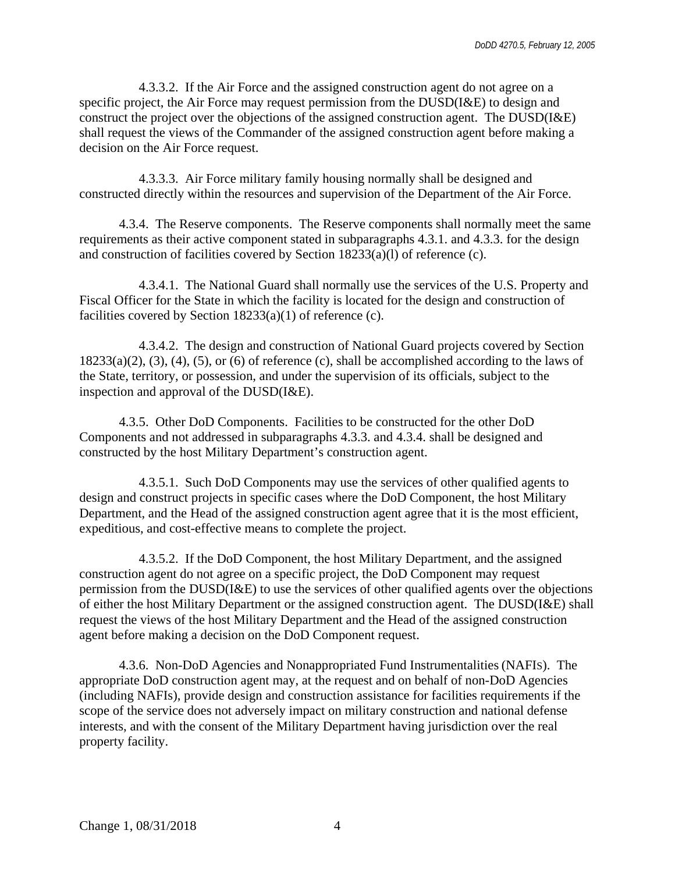4.3.3.2. If the Air Force and the assigned construction agent do not agree on a specific project, the Air Force may request permission from the DUSD(I&E) to design and construct the project over the objections of the assigned construction agent. The DUSD(I&E) shall request the views of the Commander of the assigned construction agent before making a decision on the Air Force request.

4.3.3.3. Air Force military family housing normally shall be designed and constructed directly within the resources and supervision of the Department of the Air Force.

4.3.4. The Reserve components. The Reserve components shall normally meet the same requirements as their active component stated in subparagraphs 4.3.1. and 4.3.3. for the design and construction of facilities covered by Section 18233(a)(l) of reference (c).

4.3.4.1. The National Guard shall normally use the services of the U.S. Property and Fiscal Officer for the State in which the facility is located for the design and construction of facilities covered by Section 18233(a)(1) of reference (c).

4.3.4.2. The design and construction of National Guard projects covered by Section  $18233(a)(2)$ ,  $(3)$ ,  $(4)$ ,  $(5)$ , or  $(6)$  of reference  $(c)$ , shall be accomplished according to the laws of the State, territory, or possession, and under the supervision of its officials, subject to the inspection and approval of the DUSD(I&E).

4.3.5. Other DoD Components. Facilities to be constructed for the other DoD Components and not addressed in subparagraphs 4.3.3. and 4.3.4. shall be designed and constructed by the host Military Department's construction agent.

4.3.5.1. Such DoD Components may use the services of other qualified agents to design and construct projects in specific cases where the DoD Component, the host Military Department, and the Head of the assigned construction agent agree that it is the most efficient, expeditious, and cost-effective means to complete the project.

4.3.5.2. If the DoD Component, the host Military Department, and the assigned construction agent do not agree on a specific project, the DoD Component may request permission from the DUSD(I&E) to use the services of other qualified agents over the objections of either the host Military Department or the assigned construction agent. The DUSD(I&E) shall request the views of the host Military Department and the Head of the assigned construction agent before making a decision on the DoD Component request.

4.3.6. Non-DoD Agencies and Nonappropriated Fund Instrumentalities (NAFIS). The appropriate DoD construction agent may, at the request and on behalf of non-DoD Agencies (including NAFIs), provide design and construction assistance for facilities requirements if the scope of the service does not adversely impact on military construction and national defense interests, and with the consent of the Military Department having jurisdiction over the real property facility.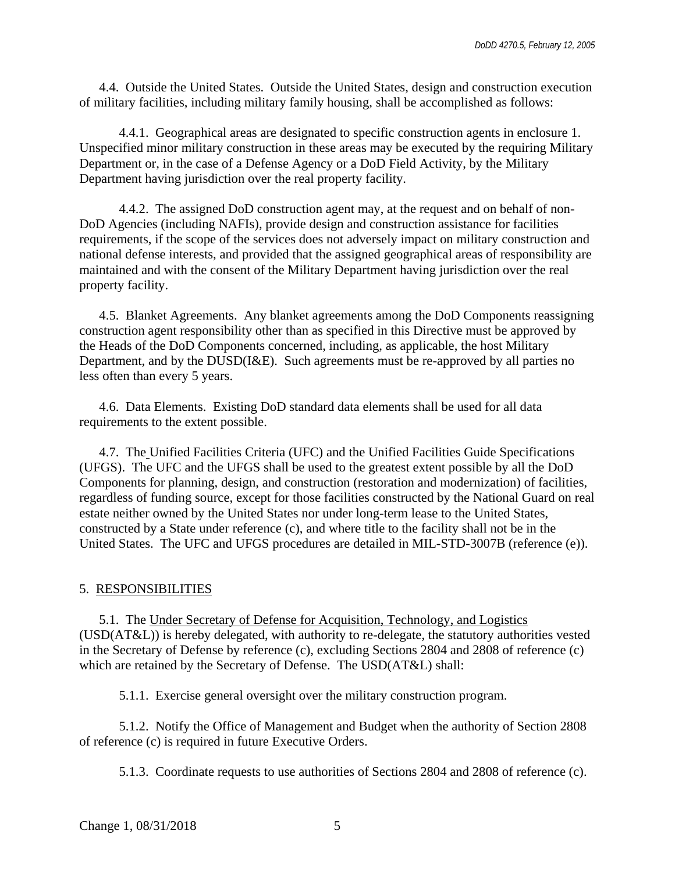4.4. Outside the United States. Outside the United States, design and construction execution of military facilities, including military family housing, shall be accomplished as follows:

4.4.1. Geographical areas are designated to specific construction agents in enclosure 1. Unspecified minor military construction in these areas may be executed by the requiring Military Department or, in the case of a Defense Agency or a DoD Field Activity, by the Military Department having jurisdiction over the real property facility.

4.4.2. The assigned DoD construction agent may, at the request and on behalf of non-DoD Agencies (including NAFIs), provide design and construction assistance for facilities requirements, if the scope of the services does not adversely impact on military construction and national defense interests, and provided that the assigned geographical areas of responsibility are maintained and with the consent of the Military Department having jurisdiction over the real property facility.

4.5. Blanket Agreements. Any blanket agreements among the DoD Components reassigning construction agent responsibility other than as specified in this Directive must be approved by the Heads of the DoD Components concerned, including, as applicable, the host Military Department, and by the DUSD(I&E). Such agreements must be re-approved by all parties no less often than every 5 years.

4.6. Data Elements. Existing DoD standard data elements shall be used for all data requirements to the extent possible.

4.7. The Unified Facilities Criteria (UFC) and the Unified Facilities Guide Specifications (UFGS). The UFC and the UFGS shall be used to the greatest extent possible by all the DoD Components for planning, design, and construction (restoration and modernization) of facilities, regardless of funding source, except for those facilities constructed by the National Guard on real estate neither owned by the United States nor under long-term lease to the United States, constructed by a State under reference (c), and where title to the facility shall not be in the United States. The UFC and UFGS procedures are detailed in MIL-STD-3007B (reference (e)).

#### 5. RESPONSIBILITIES

5.1. The Under Secretary of Defense for Acquisition, Technology, and Logistics (USD(AT&L)) is hereby delegated, with authority to re-delegate, the statutory authorities vested in the Secretary of Defense by reference (c), excluding Sections 2804 and 2808 of reference (c) which are retained by the Secretary of Defense. The USD(AT&L) shall:

5.1.1. Exercise general oversight over the military construction program.

5.1.2. Notify the Office of Management and Budget when the authority of Section 2808 of reference (c) is required in future Executive Orders.

5.1.3. Coordinate requests to use authorities of Sections 2804 and 2808 of reference (c).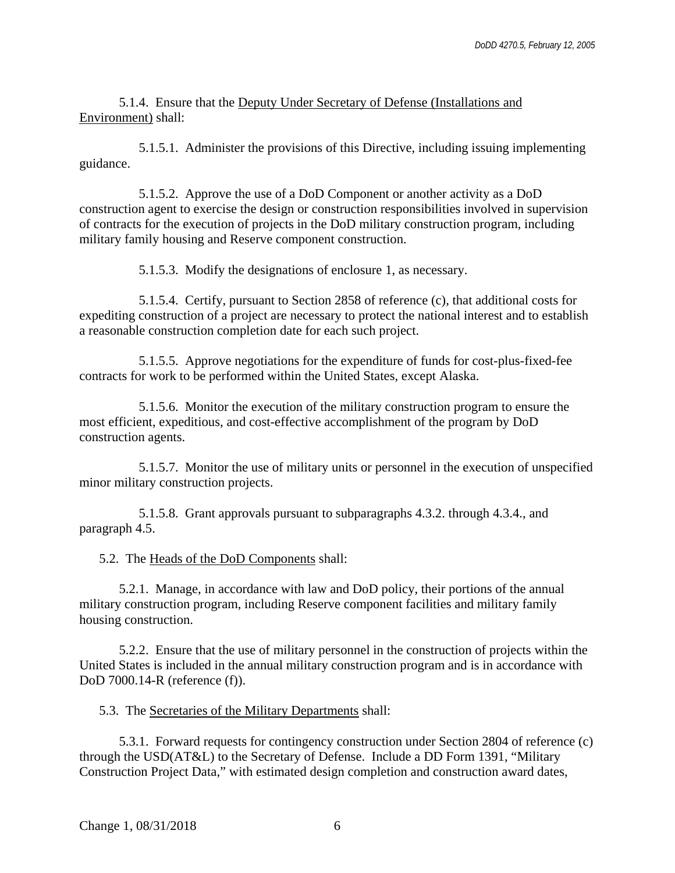5.1.4. Ensure that the Deputy Under Secretary of Defense (Installations and Environment) shall:

5.1.5.1. Administer the provisions of this Directive, including issuing implementing guidance.

5.1.5.2. Approve the use of a DoD Component or another activity as a DoD construction agent to exercise the design or construction responsibilities involved in supervision of contracts for the execution of projects in the DoD military construction program, including military family housing and Reserve component construction.

5.1.5.3. Modify the designations of enclosure 1, as necessary.

5.1.5.4. Certify, pursuant to Section 2858 of reference (c), that additional costs for expediting construction of a project are necessary to protect the national interest and to establish a reasonable construction completion date for each such project.

5.1.5.5. Approve negotiations for the expenditure of funds for cost-plus-fixed-fee contracts for work to be performed within the United States, except Alaska.

5.1.5.6. Monitor the execution of the military construction program to ensure the most efficient, expeditious, and cost-effective accomplishment of the program by DoD construction agents.

5.1.5.7. Monitor the use of military units or personnel in the execution of unspecified minor military construction projects.

5.1.5.8. Grant approvals pursuant to subparagraphs 4.3.2. through 4.3.4., and paragraph 4.5.

5.2. The Heads of the DoD Components shall:

5.2.1. Manage, in accordance with law and DoD policy, their portions of the annual military construction program, including Reserve component facilities and military family housing construction.

5.2.2. Ensure that the use of military personnel in the construction of projects within the United States is included in the annual military construction program and is in accordance with DoD 7000.14-R (reference (f)).

5.3. The Secretaries of the Military Departments shall:

5.3.1. Forward requests for contingency construction under Section 2804 of reference (c) through the USD(AT&L) to the Secretary of Defense. Include a DD Form 1391, "Military Construction Project Data," with estimated design completion and construction award dates,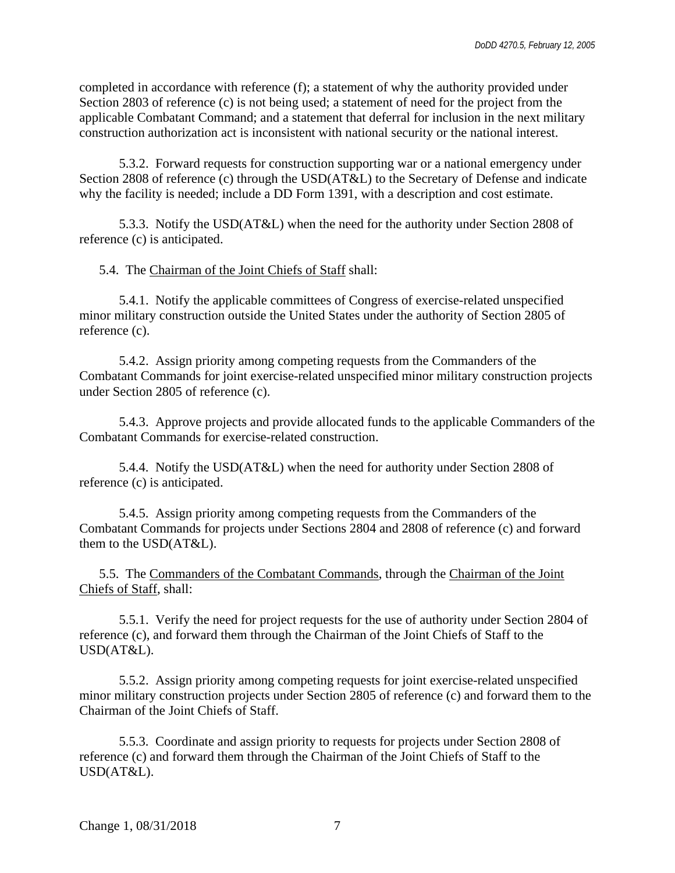completed in accordance with reference (f); a statement of why the authority provided under Section 2803 of reference (c) is not being used; a statement of need for the project from the applicable Combatant Command; and a statement that deferral for inclusion in the next military construction authorization act is inconsistent with national security or the national interest.

5.3.2. Forward requests for construction supporting war or a national emergency under Section 2808 of reference (c) through the USD(AT&L) to the Secretary of Defense and indicate why the facility is needed; include a DD Form 1391, with a description and cost estimate.

5.3.3. Notify the USD(AT&L) when the need for the authority under Section 2808 of reference (c) is anticipated.

5.4. The Chairman of the Joint Chiefs of Staff shall:

5.4.1. Notify the applicable committees of Congress of exercise-related unspecified minor military construction outside the United States under the authority of Section 2805 of reference (c).

5.4.2. Assign priority among competing requests from the Commanders of the Combatant Commands for joint exercise-related unspecified minor military construction projects under Section 2805 of reference (c).

5.4.3. Approve projects and provide allocated funds to the applicable Commanders of the Combatant Commands for exercise-related construction.

5.4.4. Notify the USD(AT&L) when the need for authority under Section 2808 of reference (c) is anticipated.

5.4.5. Assign priority among competing requests from the Commanders of the Combatant Commands for projects under Sections 2804 and 2808 of reference (c) and forward them to the USD(AT&L).

5.5. The Commanders of the Combatant Commands, through the Chairman of the Joint Chiefs of Staff, shall:

5.5.1. Verify the need for project requests for the use of authority under Section 2804 of reference (c), and forward them through the Chairman of the Joint Chiefs of Staff to the USD(AT&L).

5.5.2. Assign priority among competing requests for joint exercise-related unspecified minor military construction projects under Section 2805 of reference (c) and forward them to the Chairman of the Joint Chiefs of Staff.

5.5.3. Coordinate and assign priority to requests for projects under Section 2808 of reference (c) and forward them through the Chairman of the Joint Chiefs of Staff to the USD(AT&L).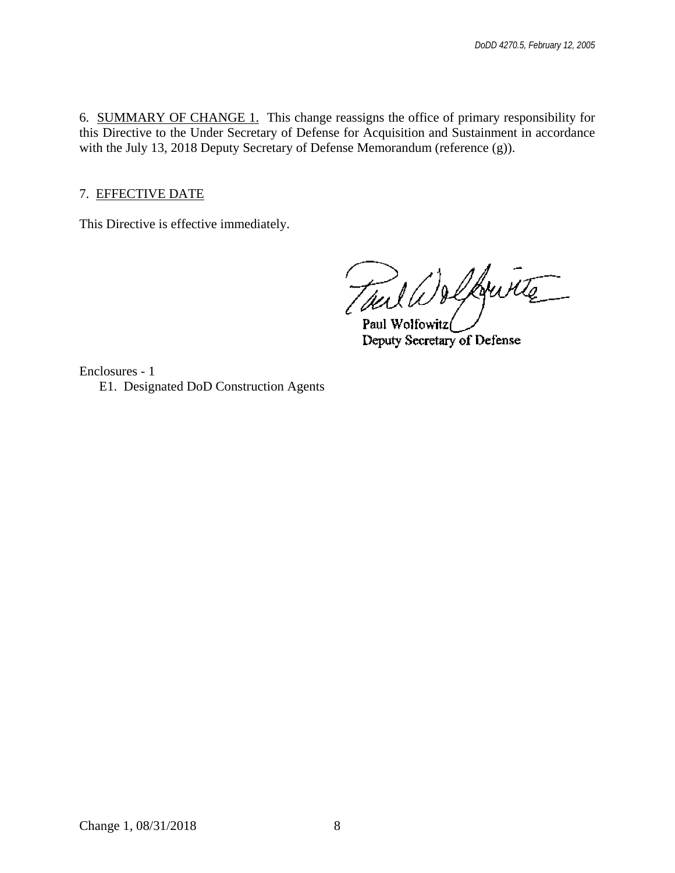6. SUMMARY OF CHANGE 1. This change reassigns the office of primary responsibility for this Directive to the Under Secretary of Defense for Acquisition and Sustainment in accordance with the July 13, 2018 Deputy Secretary of Defense Memorandum (reference (g)).

7. EFFECTIVE DATE

This Directive is effective immediately.

Thal W & Louis

Deputy Secretary of Defense

Enclosures - 1 E1. Designated DoD Construction Agents